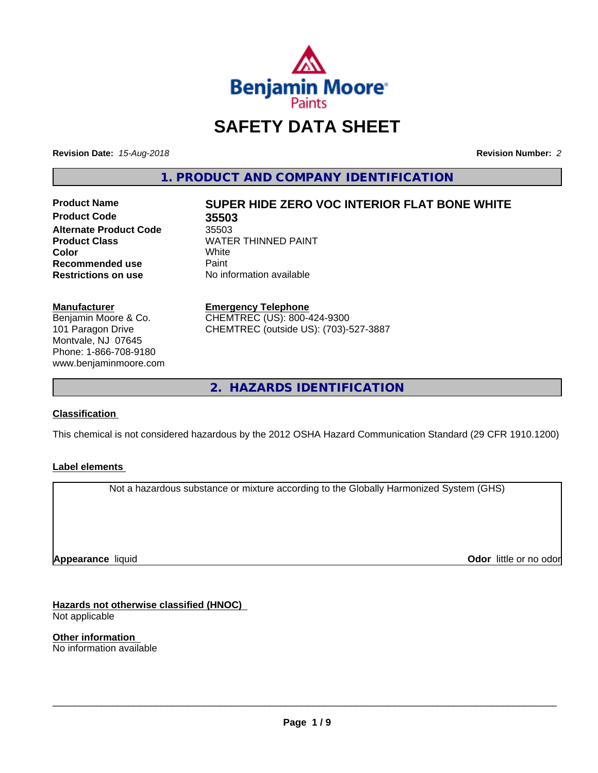

# **SAFETY DATA SHEET**

**Revision Date:** *15-Aug-2018* **Revision Number:** *2*

**1. PRODUCT AND COMPANY IDENTIFICATION**

**Product Code 35503 Alternate Product Code**<br>Product Class **Recommended use** Paint<br> **Restrictions on use** No inf

# **Product Name SUPER HIDE ZERO VOC INTERIOR FLAT BONE WHITE**

**WATER THINNED PAINT**<br>White **Color** White White **No information available** 

**Manufacturer** Benjamin Moore & Co. 101 Paragon Drive Montvale, NJ 07645

Phone: 1-866-708-9180 www.benjaminmoore.com

#### **Emergency Telephone**

CHEMTREC (US): 800-424-9300 CHEMTREC (outside US): (703)-527-3887

**2. HAZARDS IDENTIFICATION**

## **Classification**

This chemical is not considered hazardous by the 2012 OSHA Hazard Communication Standard (29 CFR 1910.1200)

## **Label elements**

Not a hazardous substance or mixture according to the Globally Harmonized System (GHS)

**Appearance** liquid

**Odor** little or no odor

**Hazards not otherwise classified (HNOC)** Not applicable

**Other information** No information available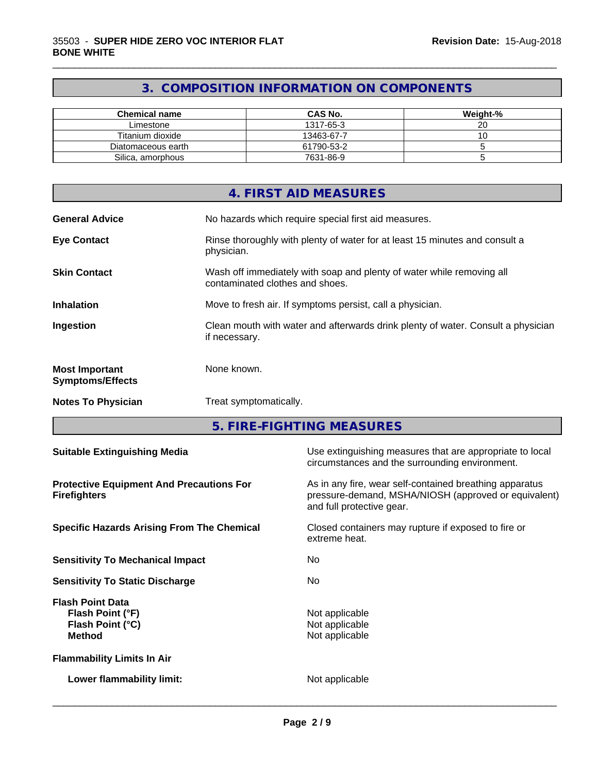## **3. COMPOSITION INFORMATION ON COMPONENTS**

\_\_\_\_\_\_\_\_\_\_\_\_\_\_\_\_\_\_\_\_\_\_\_\_\_\_\_\_\_\_\_\_\_\_\_\_\_\_\_\_\_\_\_\_\_\_\_\_\_\_\_\_\_\_\_\_\_\_\_\_\_\_\_\_\_\_\_\_\_\_\_\_\_\_\_\_\_\_\_\_\_\_\_\_\_\_\_\_\_\_\_\_\_

| Chemical name      | <b>CAS No.</b> | Weight-% |
|--------------------|----------------|----------|
| Limestone          | 1317-65-3      | ۷J       |
| Titanium dioxide   | 13463-67-7     |          |
| Diatomaceous earth | 61790-53-2     |          |
| Silica, amorphous  | 7631-86-9      |          |

|                                                  | 4. FIRST AID MEASURES                                                                                    |
|--------------------------------------------------|----------------------------------------------------------------------------------------------------------|
| <b>General Advice</b>                            | No hazards which require special first aid measures.                                                     |
| <b>Eye Contact</b>                               | Rinse thoroughly with plenty of water for at least 15 minutes and consult a<br>physician.                |
| <b>Skin Contact</b>                              | Wash off immediately with soap and plenty of water while removing all<br>contaminated clothes and shoes. |
| <b>Inhalation</b>                                | Move to fresh air. If symptoms persist, call a physician.                                                |
| Ingestion                                        | Clean mouth with water and afterwards drink plenty of water. Consult a physician<br>if necessary.        |
| <b>Most Important</b><br><b>Symptoms/Effects</b> | None known.                                                                                              |
| <b>Notes To Physician</b>                        | Treat symptomatically.                                                                                   |

**5. FIRE-FIGHTING MEASURES**

| <b>Suitable Extinguishing Media</b>                                              | Use extinguishing measures that are appropriate to local<br>circumstances and the surrounding environment.                                   |
|----------------------------------------------------------------------------------|----------------------------------------------------------------------------------------------------------------------------------------------|
| <b>Protective Equipment And Precautions For</b><br><b>Firefighters</b>           | As in any fire, wear self-contained breathing apparatus<br>pressure-demand, MSHA/NIOSH (approved or equivalent)<br>and full protective gear. |
| <b>Specific Hazards Arising From The Chemical</b>                                | Closed containers may rupture if exposed to fire or<br>extreme heat.                                                                         |
| <b>Sensitivity To Mechanical Impact</b>                                          | No.                                                                                                                                          |
| <b>Sensitivity To Static Discharge</b>                                           | No.                                                                                                                                          |
| <b>Flash Point Data</b><br>Flash Point (°F)<br>Flash Point (°C)<br><b>Method</b> | Not applicable<br>Not applicable<br>Not applicable                                                                                           |
| <b>Flammability Limits In Air</b>                                                |                                                                                                                                              |
| Lower flammability limit:                                                        | Not applicable                                                                                                                               |
|                                                                                  |                                                                                                                                              |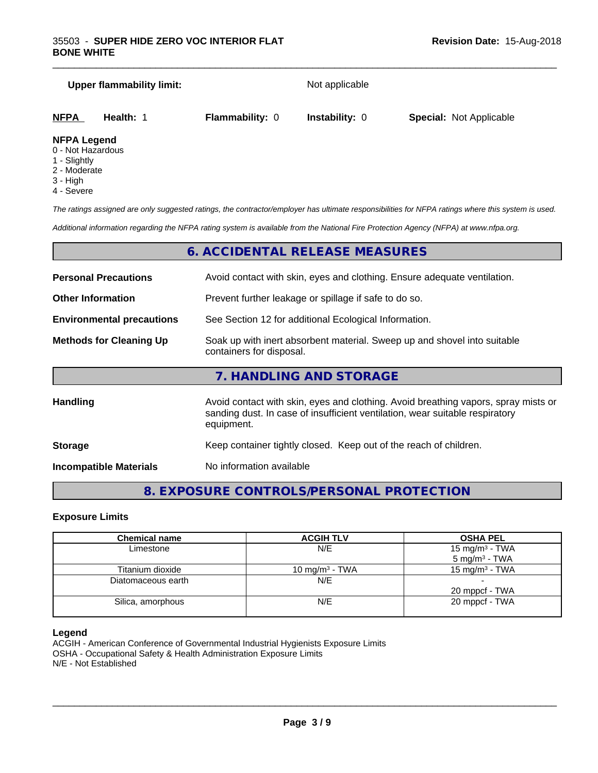#### **Upper flammability limit:** Not applicable

\_\_\_\_\_\_\_\_\_\_\_\_\_\_\_\_\_\_\_\_\_\_\_\_\_\_\_\_\_\_\_\_\_\_\_\_\_\_\_\_\_\_\_\_\_\_\_\_\_\_\_\_\_\_\_\_\_\_\_\_\_\_\_\_\_\_\_\_\_\_\_\_\_\_\_\_\_\_\_\_\_\_\_\_\_\_\_\_\_\_\_\_\_

| <u>NFPA</u>         | Health: | <b>Flammability: 0</b> | <b>Instability: 0</b> | <b>Special: Not Applicable</b> |  |
|---------------------|---------|------------------------|-----------------------|--------------------------------|--|
| <b>NIEDA LANAMA</b> |         |                        |                       |                                |  |

#### **NFPA Legend**

- 0 Not Hazardous
- 1 Slightly
- 2 Moderate
- 3 High
- 4 Severe

*The ratings assigned are only suggested ratings, the contractor/employer has ultimate responsibilities for NFPA ratings where this system is used.*

*Additional information regarding the NFPA rating system is available from the National Fire Protection Agency (NFPA) at www.nfpa.org.*

## **6. ACCIDENTAL RELEASE MEASURES**

| <b>Personal Precautions</b>      | Avoid contact with skin, eyes and clothing. Ensure adequate ventilation.                                                                                                         |
|----------------------------------|----------------------------------------------------------------------------------------------------------------------------------------------------------------------------------|
| <b>Other Information</b>         | Prevent further leakage or spillage if safe to do so.                                                                                                                            |
| <b>Environmental precautions</b> | See Section 12 for additional Ecological Information.                                                                                                                            |
| <b>Methods for Cleaning Up</b>   | Soak up with inert absorbent material. Sweep up and shovel into suitable<br>containers for disposal.                                                                             |
|                                  | 7. HANDLING AND STORAGE                                                                                                                                                          |
| <b>Handling</b>                  | Avoid contact with skin, eyes and clothing. Avoid breathing vapors, spray mists or<br>sanding dust. In case of insufficient ventilation, wear suitable respiratory<br>equipment. |
| <b>Storage</b>                   | Keep container tightly closed. Keep out of the reach of children.                                                                                                                |

**Incompatible Materials** No information available

## **8. EXPOSURE CONTROLS/PERSONAL PROTECTION**

#### **Exposure Limits**

| <b>Chemical name</b> | <b>ACGIH TLV</b>           | <b>OSHA PEL</b>                                        |
|----------------------|----------------------------|--------------------------------------------------------|
| Limestone            | N/E                        | 15 mg/m <sup>3</sup> - TWA<br>$5 \text{ mg/m}^3$ - TWA |
| Titanium dioxide     | 10 mg/m <sup>3</sup> - TWA | 15 mg/m <sup>3</sup> - TWA                             |
| Diatomaceous earth   | N/E                        | 20 mppcf - TWA                                         |
| Silica, amorphous    | N/E                        | 20 mppcf - TWA                                         |

#### **Legend**

ACGIH - American Conference of Governmental Industrial Hygienists Exposure Limits OSHA - Occupational Safety & Health Administration Exposure Limits N/E - Not Established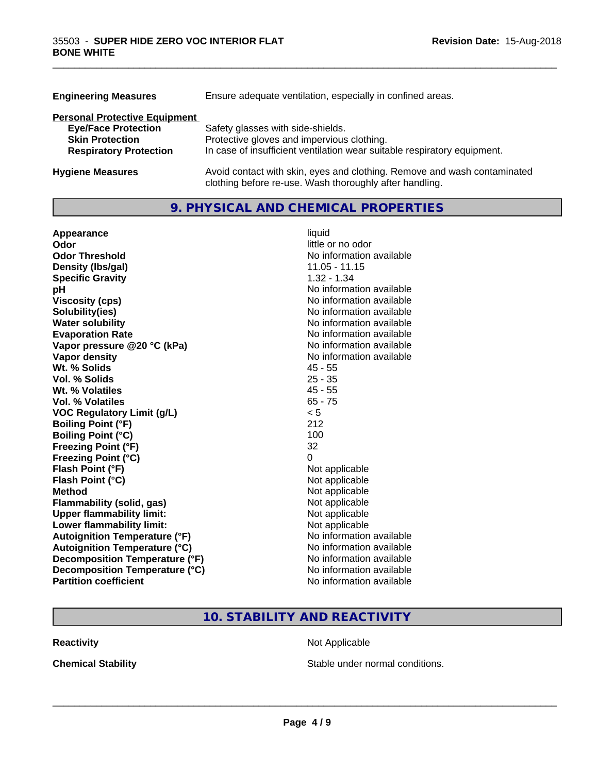| <b>Engineering Measures</b>          | Ensure adequate ventilation, especially in confined areas.                                                                          |  |
|--------------------------------------|-------------------------------------------------------------------------------------------------------------------------------------|--|
| <b>Personal Protective Equipment</b> |                                                                                                                                     |  |
| <b>Eye/Face Protection</b>           | Safety glasses with side-shields.                                                                                                   |  |
| <b>Skin Protection</b>               | Protective gloves and impervious clothing.                                                                                          |  |
| <b>Respiratory Protection</b>        | In case of insufficient ventilation wear suitable respiratory equipment.                                                            |  |
| <b>Hygiene Measures</b>              | Avoid contact with skin, eyes and clothing. Remove and wash contaminated<br>clothing before re-use. Wash thoroughly after handling. |  |

\_\_\_\_\_\_\_\_\_\_\_\_\_\_\_\_\_\_\_\_\_\_\_\_\_\_\_\_\_\_\_\_\_\_\_\_\_\_\_\_\_\_\_\_\_\_\_\_\_\_\_\_\_\_\_\_\_\_\_\_\_\_\_\_\_\_\_\_\_\_\_\_\_\_\_\_\_\_\_\_\_\_\_\_\_\_\_\_\_\_\_\_\_

## **9. PHYSICAL AND CHEMICAL PROPERTIES**

| Appearance                           | liquid                   |
|--------------------------------------|--------------------------|
| Odor                                 | little or no odor        |
| <b>Odor Threshold</b>                | No information available |
| Density (Ibs/gal)                    | 11.05 - 11.15            |
| <b>Specific Gravity</b>              | $1.32 - 1.34$            |
| рH                                   | No information available |
| <b>Viscosity (cps)</b>               | No information available |
| Solubility(ies)                      | No information available |
| <b>Water solubility</b>              | No information available |
| <b>Evaporation Rate</b>              | No information available |
| Vapor pressure @20 °C (kPa)          | No information available |
| Vapor density                        | No information available |
| Wt. % Solids                         | $45 - 55$                |
| Vol. % Solids                        | $25 - 35$                |
| Wt. % Volatiles                      | $45 - 55$                |
| Vol. % Volatiles                     | $65 - 75$                |
| <b>VOC Regulatory Limit (g/L)</b>    | < 5                      |
| <b>Boiling Point (°F)</b>            | 212                      |
| <b>Boiling Point (°C)</b>            | 100                      |
| <b>Freezing Point (°F)</b>           | 32                       |
| <b>Freezing Point (°C)</b>           | 0                        |
| Flash Point (°F)                     | Not applicable           |
| Flash Point (°C)                     | Not applicable           |
| <b>Method</b>                        | Not applicable           |
| <b>Flammability (solid, gas)</b>     | Not applicable           |
| <b>Upper flammability limit:</b>     | Not applicable           |
| Lower flammability limit:            | Not applicable           |
| <b>Autoignition Temperature (°F)</b> | No information available |
| <b>Autoignition Temperature (°C)</b> | No information available |
| Decomposition Temperature (°F)       | No information available |
| Decomposition Temperature (°C)       | No information available |
| <b>Partition coefficient</b>         | No information available |

## **10. STABILITY AND REACTIVITY**

**Reactivity Not Applicable** Not Applicable

**Chemical Stability Chemical Stability** Stable under normal conditions.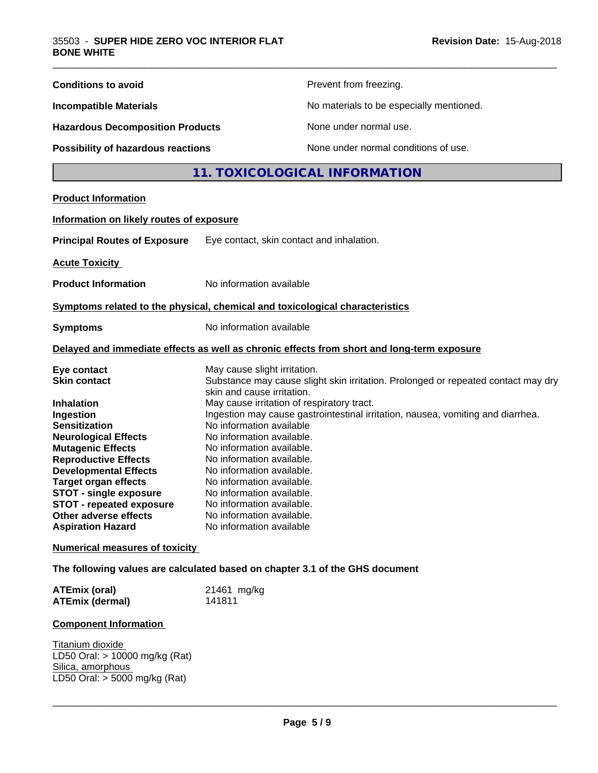| <b>Conditions to avoid</b>                                                                                                                                                                                                                                                                                                 | Prevent from freezing.                                                                                                                                                                                                                                                                                                                                                                                                                                      |  |
|----------------------------------------------------------------------------------------------------------------------------------------------------------------------------------------------------------------------------------------------------------------------------------------------------------------------------|-------------------------------------------------------------------------------------------------------------------------------------------------------------------------------------------------------------------------------------------------------------------------------------------------------------------------------------------------------------------------------------------------------------------------------------------------------------|--|
| <b>Incompatible Materials</b>                                                                                                                                                                                                                                                                                              | No materials to be especially mentioned.                                                                                                                                                                                                                                                                                                                                                                                                                    |  |
| <b>Hazardous Decomposition Products</b>                                                                                                                                                                                                                                                                                    | None under normal use.                                                                                                                                                                                                                                                                                                                                                                                                                                      |  |
| Possibility of hazardous reactions                                                                                                                                                                                                                                                                                         | None under normal conditions of use.                                                                                                                                                                                                                                                                                                                                                                                                                        |  |
|                                                                                                                                                                                                                                                                                                                            | 11. TOXICOLOGICAL INFORMATION                                                                                                                                                                                                                                                                                                                                                                                                                               |  |
| <b>Product Information</b>                                                                                                                                                                                                                                                                                                 |                                                                                                                                                                                                                                                                                                                                                                                                                                                             |  |
| Information on likely routes of exposure                                                                                                                                                                                                                                                                                   |                                                                                                                                                                                                                                                                                                                                                                                                                                                             |  |
| <b>Principal Routes of Exposure</b>                                                                                                                                                                                                                                                                                        | Eye contact, skin contact and inhalation.                                                                                                                                                                                                                                                                                                                                                                                                                   |  |
| <b>Acute Toxicity</b>                                                                                                                                                                                                                                                                                                      |                                                                                                                                                                                                                                                                                                                                                                                                                                                             |  |
| <b>Product Information</b>                                                                                                                                                                                                                                                                                                 | No information available                                                                                                                                                                                                                                                                                                                                                                                                                                    |  |
|                                                                                                                                                                                                                                                                                                                            | Symptoms related to the physical, chemical and toxicological characteristics                                                                                                                                                                                                                                                                                                                                                                                |  |
| <b>Symptoms</b>                                                                                                                                                                                                                                                                                                            | No information available                                                                                                                                                                                                                                                                                                                                                                                                                                    |  |
|                                                                                                                                                                                                                                                                                                                            | Delayed and immediate effects as well as chronic effects from short and long-term exposure                                                                                                                                                                                                                                                                                                                                                                  |  |
| Eye contact<br><b>Skin contact</b>                                                                                                                                                                                                                                                                                         | May cause slight irritation.<br>Substance may cause slight skin irritation. Prolonged or repeated contact may dry                                                                                                                                                                                                                                                                                                                                           |  |
| Inhalation<br>Ingestion<br><b>Sensitization</b><br><b>Neurological Effects</b><br><b>Mutagenic Effects</b><br><b>Reproductive Effects</b><br><b>Developmental Effects</b><br><b>Target organ effects</b><br><b>STOT - single exposure</b><br>STOT - repeated exposure<br>Other adverse effects<br><b>Aspiration Hazard</b> | skin and cause irritation.<br>May cause irritation of respiratory tract.<br>Ingestion may cause gastrointestinal irritation, nausea, vomiting and diarrhea.<br>No information available<br>No information available.<br>No information available.<br>No information available.<br>No information available.<br>No information available.<br>No information available.<br>No information available.<br>No information available.<br>No information available |  |
| <b>Numerical measures of toxicity</b>                                                                                                                                                                                                                                                                                      |                                                                                                                                                                                                                                                                                                                                                                                                                                                             |  |
|                                                                                                                                                                                                                                                                                                                            | The following values are calculated based on chapter 3.1 of the GHS document                                                                                                                                                                                                                                                                                                                                                                                |  |
| <b>ATEmix (oral)</b><br><b>ATEmix (dermal)</b>                                                                                                                                                                                                                                                                             | 21461 mg/kg<br>141811                                                                                                                                                                                                                                                                                                                                                                                                                                       |  |
| <b>Component Information</b>                                                                                                                                                                                                                                                                                               |                                                                                                                                                                                                                                                                                                                                                                                                                                                             |  |
| Titanium dioxide<br>LD50 Oral: > 10000 mg/kg (Rat)<br>Silica, amorphous<br>LD50 Oral: $>$ 5000 mg/kg (Rat)                                                                                                                                                                                                                 |                                                                                                                                                                                                                                                                                                                                                                                                                                                             |  |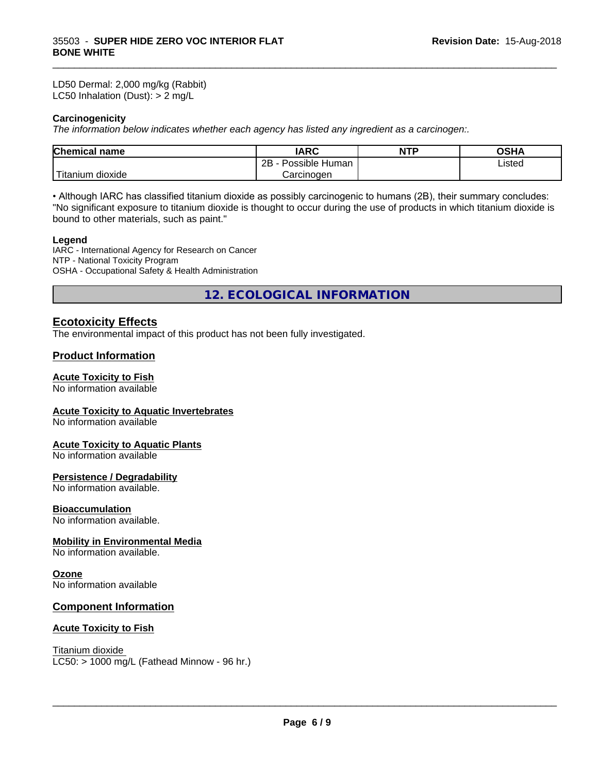LD50 Dermal: 2,000 mg/kg (Rabbit) LC50 Inhalation (Dust): > 2 mg/L

#### **Carcinogenicity**

*The information below indicateswhether each agency has listed any ingredient as a carcinogen:.*

| <b>Chemical</b><br>name     | <b>IARC</b>                 | <b>NTP</b> | $\sim$ $\sim$<br>UJ⊓r |  |
|-----------------------------|-----------------------------|------------|-----------------------|--|
|                             | <br>2B<br>Human<br>Possible |            | Listed                |  |
| . dioxide<br><b>itanium</b> | Carcinogen                  |            |                       |  |

\_\_\_\_\_\_\_\_\_\_\_\_\_\_\_\_\_\_\_\_\_\_\_\_\_\_\_\_\_\_\_\_\_\_\_\_\_\_\_\_\_\_\_\_\_\_\_\_\_\_\_\_\_\_\_\_\_\_\_\_\_\_\_\_\_\_\_\_\_\_\_\_\_\_\_\_\_\_\_\_\_\_\_\_\_\_\_\_\_\_\_\_\_

• Although IARC has classified titanium dioxide as possibly carcinogenic to humans (2B), their summary concludes: "No significant exposure to titanium dioxide is thought to occur during the use of products in which titanium dioxide is bound to other materials, such as paint."

#### **Legend**

IARC - International Agency for Research on Cancer NTP - National Toxicity Program OSHA - Occupational Safety & Health Administration

**12. ECOLOGICAL INFORMATION**

## **Ecotoxicity Effects**

The environmental impact of this product has not been fully investigated.

#### **Product Information**

#### **Acute Toxicity to Fish**

No information available

#### **Acute Toxicity to Aquatic Invertebrates**

No information available

#### **Acute Toxicity to Aquatic Plants**

No information available

#### **Persistence / Degradability**

No information available.

#### **Bioaccumulation**

No information available.

#### **Mobility in Environmental Media**

No information available.

#### **Ozone**

No information available

## **Component Information**

#### **Acute Toxicity to Fish**

Titanium dioxide

 $LC50:$  > 1000 mg/L (Fathead Minnow - 96 hr.)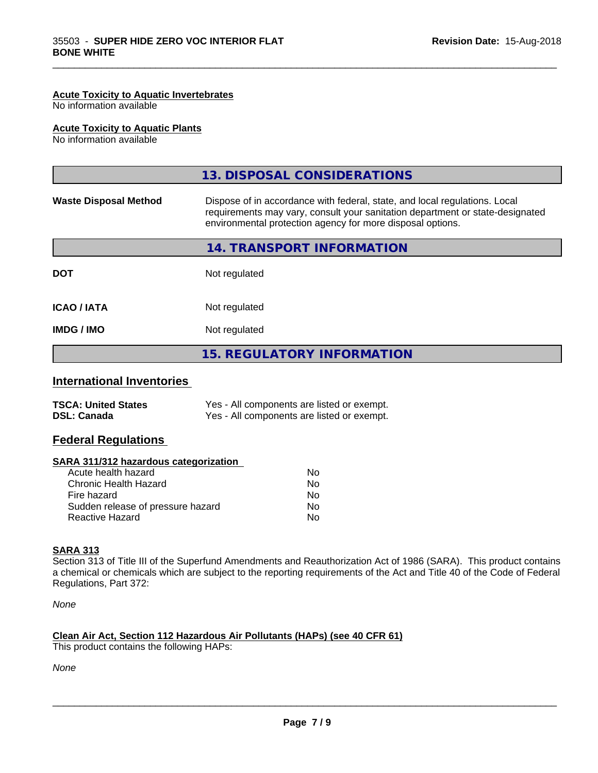#### **Acute Toxicity to Aquatic Invertebrates**

No information available

#### **Acute Toxicity to Aquatic Plants**

No information available

|                              | 13. DISPOSAL CONSIDERATIONS                                                                                                                                                                                               |
|------------------------------|---------------------------------------------------------------------------------------------------------------------------------------------------------------------------------------------------------------------------|
| <b>Waste Disposal Method</b> | Dispose of in accordance with federal, state, and local regulations. Local<br>requirements may vary, consult your sanitation department or state-designated<br>environmental protection agency for more disposal options. |
|                              | 14. TRANSPORT INFORMATION                                                                                                                                                                                                 |
| <b>DOT</b>                   | Not regulated                                                                                                                                                                                                             |
| <b>ICAO / IATA</b>           | Not regulated                                                                                                                                                                                                             |
| <b>IMDG/IMO</b>              | Not regulated                                                                                                                                                                                                             |
|                              | <b>15. REGULATORY INFORMATION</b>                                                                                                                                                                                         |

\_\_\_\_\_\_\_\_\_\_\_\_\_\_\_\_\_\_\_\_\_\_\_\_\_\_\_\_\_\_\_\_\_\_\_\_\_\_\_\_\_\_\_\_\_\_\_\_\_\_\_\_\_\_\_\_\_\_\_\_\_\_\_\_\_\_\_\_\_\_\_\_\_\_\_\_\_\_\_\_\_\_\_\_\_\_\_\_\_\_\_\_\_

## **International Inventories**

| <b>TSCA: United States</b> | Yes - All components are listed or exempt. |
|----------------------------|--------------------------------------------|
| <b>DSL: Canada</b>         | Yes - All components are listed or exempt. |

## **Federal Regulations**

| SARA 311/312 hazardous categorization |  |
|---------------------------------------|--|
|---------------------------------------|--|

| Acute health hazard               | No. |
|-----------------------------------|-----|
| Chronic Health Hazard             | Nο  |
| Fire hazard                       | N٥  |
| Sudden release of pressure hazard | Nο  |
| Reactive Hazard                   | N٥  |

#### **SARA 313**

Section 313 of Title III of the Superfund Amendments and Reauthorization Act of 1986 (SARA). This product contains a chemical or chemicals which are subject to the reporting requirements of the Act and Title 40 of the Code of Federal Regulations, Part 372:

*None*

## **Clean Air Act,Section 112 Hazardous Air Pollutants (HAPs) (see 40 CFR 61)**

This product contains the following HAPs:

*None*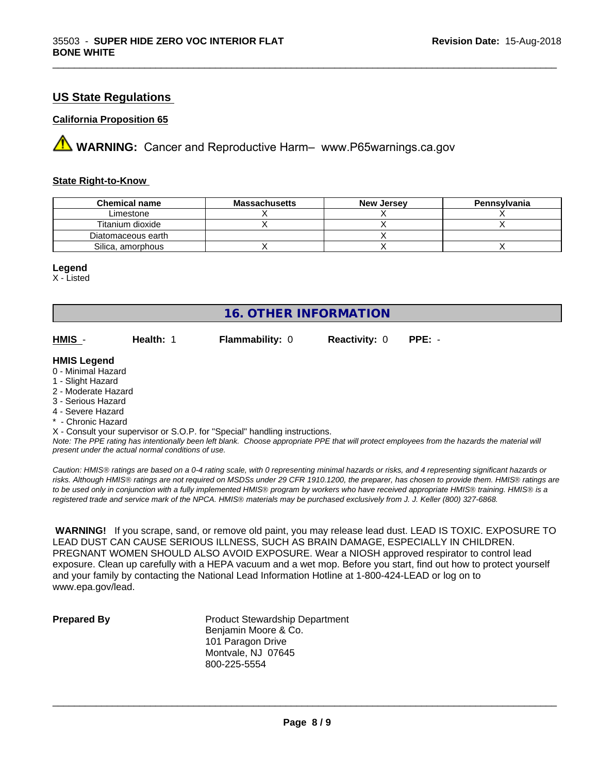## **US State Regulations**

#### **California Proposition 65**

**A** WARNING: Cancer and Reproductive Harm– www.P65warnings.ca.gov

#### **State Right-to-Know**

| <b>Chemical name</b> | <b>Massachusetts</b> | <b>New Jersey</b> | Pennsylvania |
|----------------------|----------------------|-------------------|--------------|
| ∟imestone            |                      |                   |              |
| Titanium dioxide     |                      |                   |              |
| Diatomaceous earth   |                      |                   |              |
| Silica, amorphous    |                      |                   |              |

#### **Legend**

X - Listed

# **16. OTHER INFORMATION**

**HMIS** - **Health:** 1 **Flammability:** 0 **Reactivity:** 0 **PPE:** -

\_\_\_\_\_\_\_\_\_\_\_\_\_\_\_\_\_\_\_\_\_\_\_\_\_\_\_\_\_\_\_\_\_\_\_\_\_\_\_\_\_\_\_\_\_\_\_\_\_\_\_\_\_\_\_\_\_\_\_\_\_\_\_\_\_\_\_\_\_\_\_\_\_\_\_\_\_\_\_\_\_\_\_\_\_\_\_\_\_\_\_\_\_

#### **HMIS Legend**

- 0 Minimal Hazard
- 1 Slight Hazard
- 2 Moderate Hazard
- 3 Serious Hazard
- 4 Severe Hazard
- \* Chronic Hazard

X - Consult your supervisor or S.O.P. for "Special" handling instructions.

*Note: The PPE rating has intentionally been left blank. Choose appropriate PPE that will protect employees from the hazards the material will present under the actual normal conditions of use.*

*Caution: HMISÒ ratings are based on a 0-4 rating scale, with 0 representing minimal hazards or risks, and 4 representing significant hazards or risks. Although HMISÒ ratings are not required on MSDSs under 29 CFR 1910.1200, the preparer, has chosen to provide them. HMISÒ ratings are to be used only in conjunction with a fully implemented HMISÒ program by workers who have received appropriate HMISÒ training. HMISÒ is a registered trade and service mark of the NPCA. HMISÒ materials may be purchased exclusively from J. J. Keller (800) 327-6868.*

 **WARNING!** If you scrape, sand, or remove old paint, you may release lead dust. LEAD IS TOXIC. EXPOSURE TO LEAD DUST CAN CAUSE SERIOUS ILLNESS, SUCH AS BRAIN DAMAGE, ESPECIALLY IN CHILDREN. PREGNANT WOMEN SHOULD ALSO AVOID EXPOSURE.Wear a NIOSH approved respirator to control lead exposure. Clean up carefully with a HEPA vacuum and a wet mop. Before you start, find out how to protect yourself and your family by contacting the National Lead Information Hotline at 1-800-424-LEAD or log on to www.epa.gov/lead.

**Prepared By** Product Stewardship Department Benjamin Moore & Co. 101 Paragon Drive Montvale, NJ 07645 800-225-5554